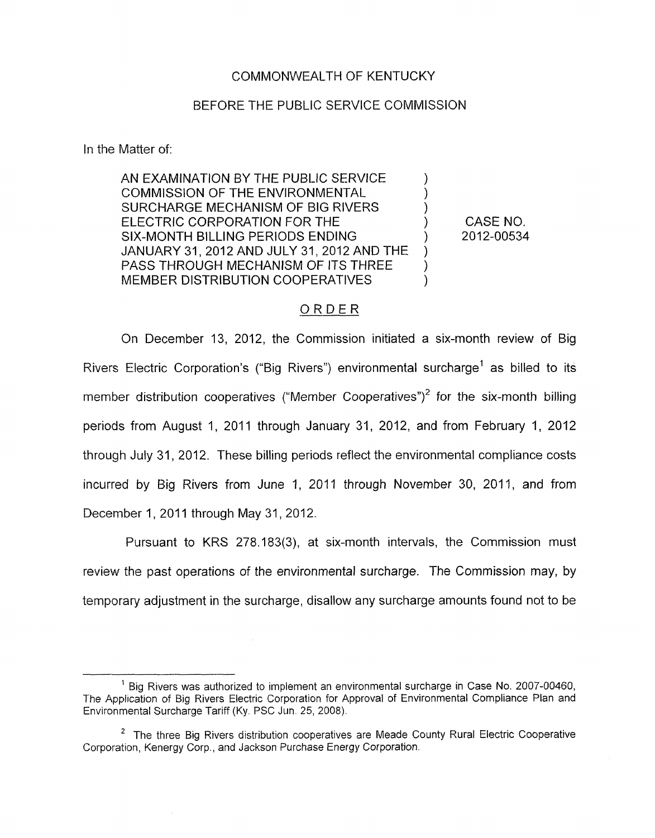### COMMONWEALTH OF KENTUCKY

#### BEFORE THE PUBLIC SERVICE COMMISSION

In the Matter of:

AN EXAMINATION BY THE PUBLIC SERVICE COMMISSION OF THE ENVIRONMENTAL 1 SURCHARGE MECHANISM OF BIG RIVERS ELECTRIC CORPORATION FOR THE  $\begin{array}{ccc} & & & \text{O} & \text{CASE NO.} \\ \text{SIX-MONTH BILLING PERIDDS ENDING & & \text{O.} \end{array}$ SIX-MONTH BILLING PERIODS ENDING JANUARY 31,2012 AND JULY 31,2012 AND THE ) PASS THROUGH MECHANISM OF ITS THREE MEMBER DISTRIBUTION COOPERATIVES

#### .ORDER

On December 13, 2012, the Commission initiated a six-month review of Big Rivers Electric Corporation's ("Big Rivers") environmental surcharge' as billed to its member distribution cooperatives ("Member Cooperatives")<sup>2</sup> for the six-month billing periods from August 1, 2011 through January 31, 2012, and from February I, 2012 through July 31, 2012. These billing periods reflect the environmental compliance costs incurred by Big Rivers from June 1, 2011 through November 30, 2011, and from December 1, 2011 through May 31, 2012.

Pursuant to KRS 278.183(3), at six-month intervals, the Commission must review the past operations of the environmental surcharge. The Commission may, by temporary adjustment in the surcharge, disallow any surcharge amounts found not to be

<sup>&</sup>lt;sup>1</sup> Big Rivers was authorized to implement an environmental surcharge in Case No. 2007-00460, The Application of Big Rivers Electric Corporation for Approval of Environmental Compliance Plan and Environmental Surcharge Tariff (Ky. PSC Jun. 25, 2008).

 $2$  The three Big Rivers distribution cooperatives are Meade County Rural Electric Cooperative Corporation, Kenergy Corp., and Jackson Purchase Energy Corporation.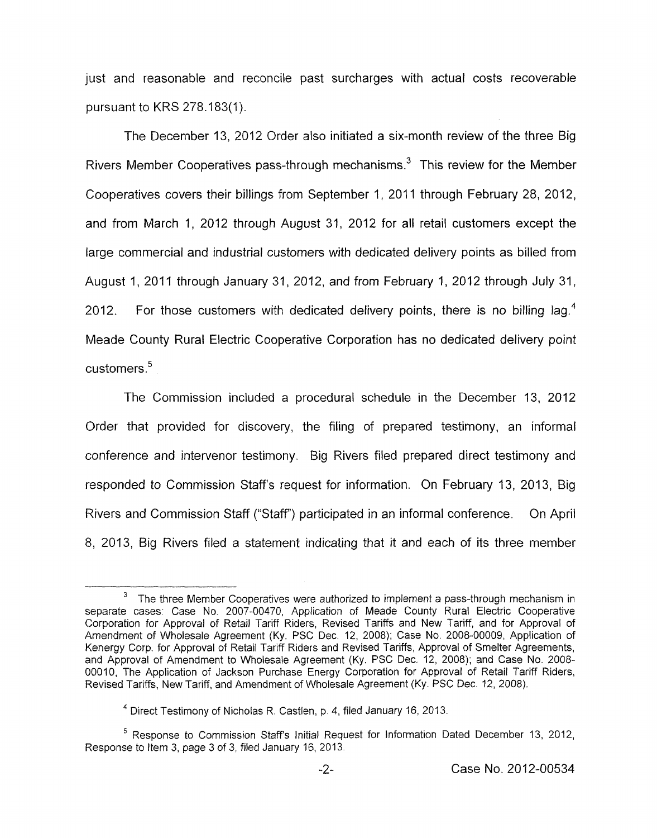just and reasonable and reconcile past surcharges with actual costs recoverable pursuant to KKS 278.183(1).

The December 13, 2012 Order also initiated a six-month review of the three Big Rivers Member Cooperatives pass-through mechanisms.<sup>3</sup> This review for the Member Cooperatives covers their billings from September 1, 2011 through February 28, 2012, and from March I, 2012 through August 31, 2012 for all retail customers except the large commercial and industrial customers with dedicated delivery points as billed from August 1, 2011 through January 31, 2012, and from February 1, 2012 through July 31, 2012. For those customers with dedicated delivery points, there is no billing lag.<sup>4</sup> Meade County Rural Electric Cooperative Corporation has no dedicated delivery point customers.<sup>5</sup>

The Commission included a procedural schedule in the December 13, 2012 Order that provided for discovery, the filing of prepared testimony, an informal conference and intervenor testimony. Big Rivers filed prepared direct testimony and responded to Commission Staffs request for information. On February 13, 2013, Big Rivers and Commission Staff ("Staff") participated in an informal conference. On April 8, 2013, Big Rivers filed a statement indicating that it and each of its three member

The three Member Cooperatives were authorized *to* implement a pass-through mechanism in separate cases: Case No. 2007-00470, Application of Meade County Rural Electric Cooperative Corporation for Approval of Retail Tariff Riders, Revised Tariffs and New Tariff, and for Approval of Amendment of Wholesale Agreement (Ky. PSC Dec, 12, 2008); Case **No.** 2008-00009, Application of Kenergy Corp. for Approval of Retail Tariff Riders and Revised Tariffs, Approval of Smelter Agreements, and Approval of Amendment to Wholesale Agreement (Ky. PSC Dec. 12, 2008); and Case No. 2008- 00010, The Application of Jackson Purchase Energy Corporation for Approval of Retail Tariff Riders, Revised Tariffs, New Tariff, and Amendment of Wholesale Agreement (Ky. PSC Dec 12, 2008). **3** 

<sup>&</sup>lt;sup>4</sup> Direct Testimony of Nicholas R. Castlen, p. 4, filed January 16, 2013.

<sup>&</sup>lt;sup>5</sup> Response to Commission Staff's Initial Request for Information Dated December 13, 2012, Response to Item 3, page 3 of 3, filed January 16, 2013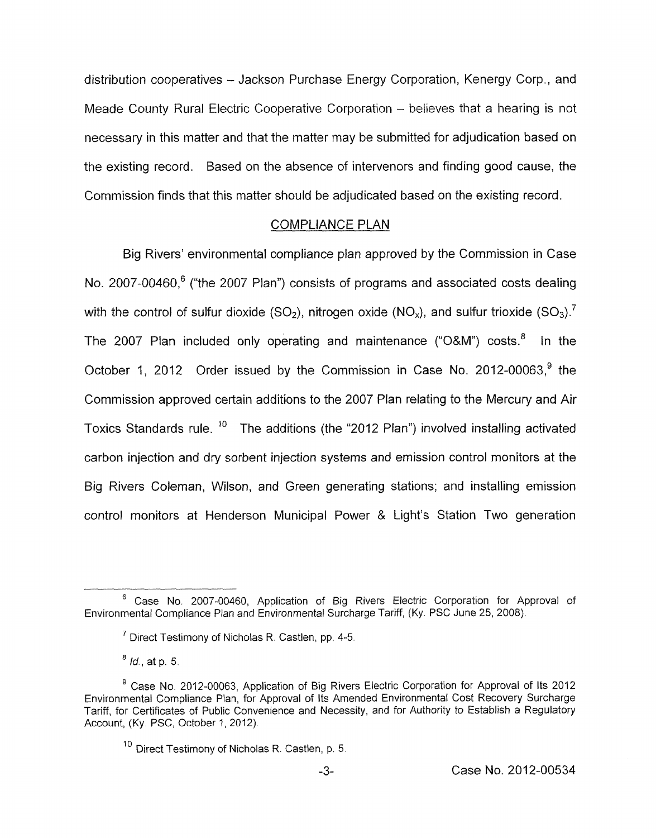distribution cooperatives - Jackson Purchase Energy Corporation, Kenergy Corp. , and Meade County Rural Electric Cooperative Corporation - believes that a hearing is not necessary in this matter and that the matter may be submitted for adjudication based on the existing record. Based on the absence of intervenors and finding good cause, the Commission finds that this matter should be adjudicated based on the existing record.

# COMPLIANCE PLAN

Big Rivers' environmental compliance plan approved by the Commission in Case No. 2007-00460, $6$  ("the 2007 Plan") consists of programs and associated costs dealing with the control of sulfur dioxide  $(SO_2)$ , nitrogen oxide  $(NO_x)$ , and sulfur trioxide  $(SO_3)$ .<sup>7</sup> The 2007 Plan included only operating and maintenance (" $O&M$ ") costs.<sup>8</sup> In the October 1, 2012 Order issued by the Commission in Case No. 2012-00063,<sup>9</sup> the Commission approved certain additions to the 2007 Plan relating to the Mercury and Air Toxics Standards rule.  $10$  The additions (the "2012 Plan") involved installing activated carbon injection and dry sorbent injection systems and emission control monitors at the Big Rivers Coleman, Wilson, and Green generating stations; and installing emission control monitors at Henderson Municipal Power & Light's Station Two generation

Case No. 2007-00460, Application of Big Rivers Electric Corporation for Approval of *<sup>6</sup>* Environmental Compliance Plan and Environmental Surcharge Tariff, (Ky. PSC June 25, 2008).

<sup>&</sup>lt;sup>7</sup> Direct Testimony of Nicholas R. Castlen, pp. 4-5.

*Id.,* at **p.** 5 *<sup>8</sup>*

Case No. 2012-00063, Application of Big Rivers Electric Corporation for Approval of Its 2012 **9**  Environmental Compliance Plan, for Approval of Its Amended Environmental Cost Recovery Surcharge Tariff, for Certificates of Public Convenience and Necessity, and far Authority *to* Establish a Regulatory Account, (Ky. PSC, October 1, 2012).

 $10$  Direct Testimony of Nicholas R. Castlen, p. 5.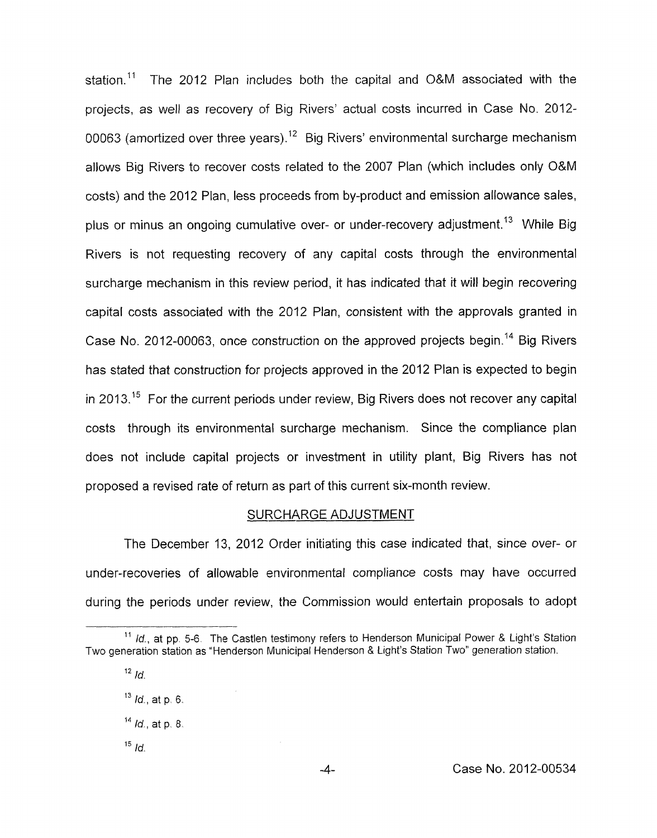station.<sup>11</sup> The 2012 Plan includes both the capital and O&M associated with the projects, as well as recovery of Big Rivers' actual costs incurred in Case No. 2012- 00063 (amortized over three years).<sup>12</sup> Big Rivers' environmental surcharge mechanism allows Big Rivers to recover costs related to the 2007 Plan (which includes only O&M costs) and the 2012 Plan, less proceeds from by-product and emission allowance sales, plus or minus an ongoing cumulative over- or under-recovery adjustment.<sup>13</sup> While Big Rivers is not requesting recovery of any capital costs through the environmental surcharge mechanism in this review period, it has indicated that it will begin recovering capital costs associated with the 2012 Plan, consistent with the approvals granted in Case No. 2012-00063, once construction on the approved projects begin.<sup>14</sup> Big Rivers has stated that construction for projects approved in the 2012 Plan is expected to begin in 2013.<sup>15</sup> For the current periods under review. Big Rivers does not recover any capital costs through its environmental surcharge mechanism. Since the compliance plan does not include capital projects or investment in utility plant, Big Rivers has not proposed a revised rate of return as part of this current six-month review. SURCHARGE ADJUSTMENT

The December 13, 2012 Order initiating this case indicated that, since over- or under-recoveries of allowable environmental compliance costs may have occurred during the periods under review, the Commission would entertain proposals to adopt

- *Id,* at p *6.*  **13**
- **l4** *lo',* at **p** <sup>8</sup>
- $15$  *Id.*

<sup>&</sup>lt;sup>11</sup> Id., at pp. 5-6. The Castlen testimony refers to Henderson Municipal Power & Light's Station Two generation station as "Henderson Municipal Henderson & Light's Station Two" generation station.

 $12$  *Id.*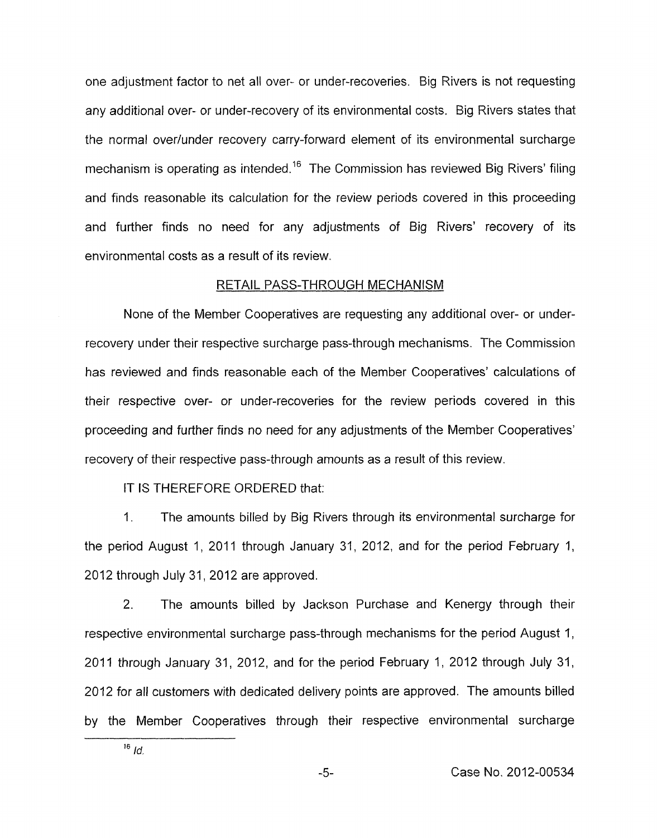one adjustment factor to net all over- or under-recoveries. Big Rivers is not requesting any additional over- or under-recovery of its environmental costs. Big Rivers states that the normal overlunder recovery carry-forward element of its environmental surcharge mechanism is operating as intended.<sup>16</sup> The Commission has reviewed Big Rivers' filing and finds reasonable its calculation for the review periods covered in this proceeding and further finds no need for any adjustments of Big Rivers' recovery of its environmental costs as a result of its review.

# RETAIL PASS-THROUGH MECHANISM

None of the Member Cooperatives are requesting any additional over- or underrecovery under their respective surcharge pass-through mechanisms. The Commission has reviewed and finds reasonable each of the Member Cooperatives' calculations of their respective over- or under-recoveries for the review periods covered in this proceeding and further finds no need for any adjustments of the Member Cooperatives' recovery of their respective pass-through amounts as a result of this review.

IT IS THEREFORE ORDERED that:

1. The amounts billed by Big Rivers through its environmental surcharge for the period August 1, 2011 through January 31, 2012, and for the period February 1, 2012 through July 31, 2012 are approved.

2. The amounts billed by Jackson Purchase and Kenergy through their respective environmental surcharge pass-through mechanisms for the period August 1, 2011 through January 31, 2012, and for the period February 1, 2012 through July 31, 2012 for all customers with dedicated delivery points are approved. The amounts billed by the Member Cooperatives through their respective environmental surcharge

 $16$  *Id.*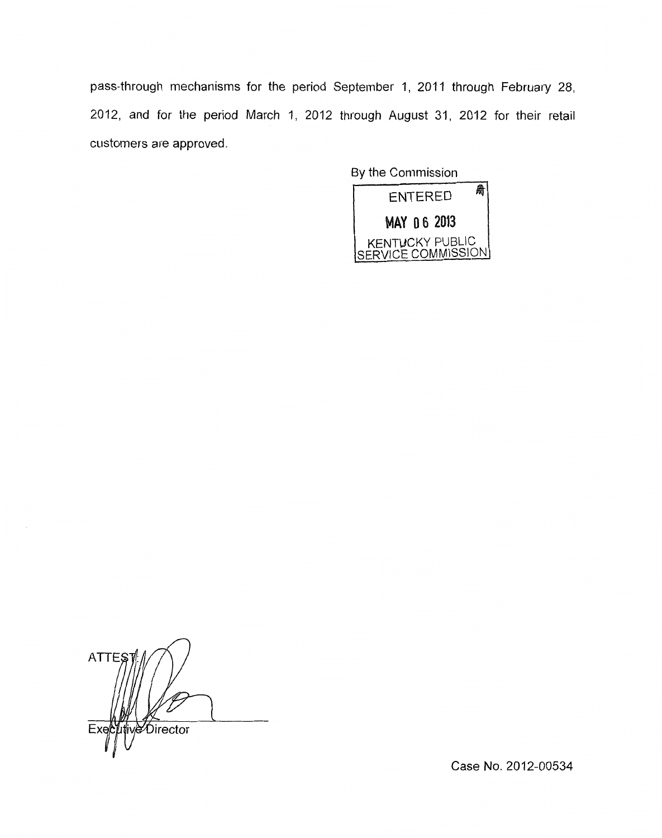pass-through mechanisms for the period September 1, 2011 through February 28, 2012, and for the period March 1, 2012 through August 31, 2012 for their retail customers are approved.

> By the Commission 局 **ENTERED** MAY 06 2013 KENTUCKY PUBLIC<br>SERVICE COMMISSION

*n*  **ATTES** Director

Case **No.** 2012-00534